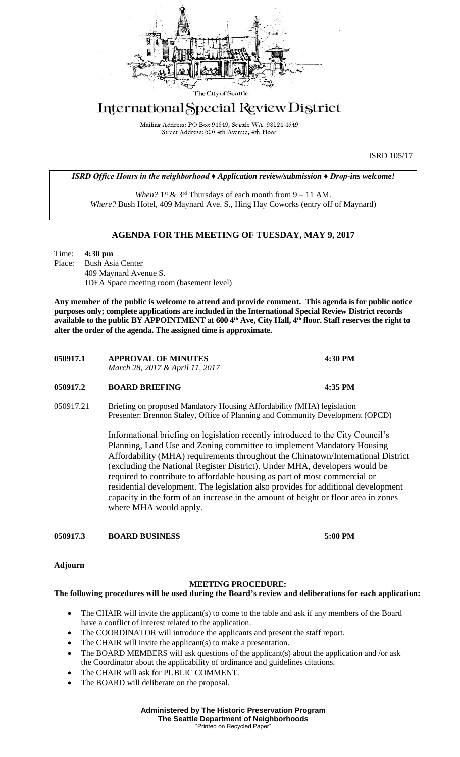

## International Special Review District

Mailing Address: PO Box 94649, Seattle WA 98124-4649 Street Address: 600 4th Avenue, 4th Floor

ISRD 105/17

*ISRD Office Hours in the neighborhood ♦ Application review/submission ♦ Drop-ins welcome!*

When?  $1^{st}$  &  $3^{rd}$  Thursdays of each month from  $9 - 11$  AM. *Where?* Bush Hotel, 409 Maynard Ave. S., Hing Hay Coworks (entry off of Maynard)

## **AGENDA FOR THE MEETING OF TUESDAY, MAY 9, 2017**

Time: **4:30 pm** Place: Bush Asia Center 409 Maynard Avenue S. IDEA Space meeting room (basement level)

**Any member of the public is welcome to attend and provide comment. This agenda is for public notice purposes only; complete applications are included in the International Special Review District records available to the public BY APPOINTMENT at 600 4th Ave, City Hall, 4th floor. Staff reserves the right to alter the order of the agenda. The assigned time is approximate.** 

| 050917.1 | <b>APPROVAL OF MINUTES</b><br>March 28, 2017 & April 11, 2017 | 4:30 PM |
|----------|---------------------------------------------------------------|---------|
| 050917.2 | <b>BOARD BRIEFING</b>                                         | 4:35 PM |

050917.21 Briefing on proposed Mandatory Housing Affordability (MHA) legislation Presenter: Brennon Staley, Office of Planning and Community Development (OPCD)

> Informational briefing on legislation recently introduced to the City Council's Planning, Land Use and Zoning committee to implement Mandatory Housing Affordability (MHA) requirements throughout the Chinatown/International District (excluding the National Register District). Under MHA, developers would be required to contribute to affordable housing as part of most commercial or residential development. The legislation also provides for additional development capacity in the form of an increase in the amount of height or floor area in zones where MHA would apply.

**050917.3 BOARD BUSINESS 5:00 PM**

**Adjourn**

## **MEETING PROCEDURE:**

## **The following procedures will be used during the Board's review and deliberations for each application:**

- The CHAIR will invite the applicant(s) to come to the table and ask if any members of the Board have a conflict of interest related to the application.
- The COORDINATOR will introduce the applicants and present the staff report.
- The CHAIR will invite the applicant(s) to make a presentation.
- The BOARD MEMBERS will ask questions of the applicant(s) about the application and /or ask the Coordinator about the applicability of ordinance and guidelines citations.
- The CHAIR will ask for PUBLIC COMMENT.
- The BOARD will deliberate on the proposal.

**Administered by The Historic Preservation Program The Seattle Department of Neighborhoods** "Printed on Recycled Paper"